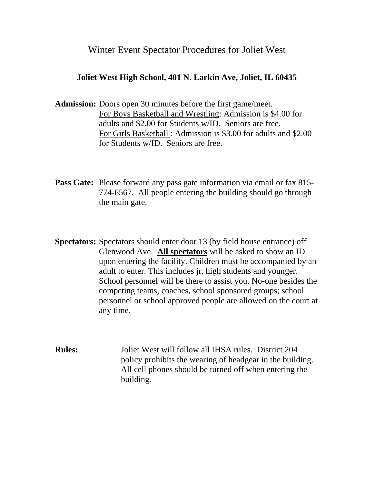## Winter Event Spectator Procedures for Joliet West

## **Joliet West High School, 401 N. Larkin Ave, Joliet, IL 60435**

- **Admission:** Doors open 30 minutes before the first game/meet. For Boys Basketball and Wrestling: Admission is \$4.00 for adults and \$2.00 for Students w/ID. Seniors are free. For Girls Basketball : Admission is \$3.00 for adults and \$2.00 for Students w/ID. Seniors are free.
- **Pass Gate:** Please forward any pass gate information via email or fax 815- 774-6567. All people entering the building should go through the main gate.
- **Spectators:** Spectators should enter door 13 (by field house entrance) off Glenwood Ave. **All spectators** will be asked to show an ID upon entering the facility. Children must be accompanied by an adult to enter. This includes jr. high students and younger. School personnel will be there to assist you. No-one besides the competing teams, coaches, school sponsored groups; school personnel or school approved people are allowed on the court at any time.
- **Rules:** Joliet West will follow all IHSA rules. District 204 policy prohibits the wearing of headgear in the building. All cell phones should be turned off when entering the building.